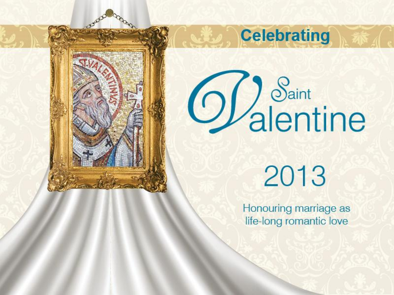



**Celebrating** 

2013

Honouring marriage as life-long romantic love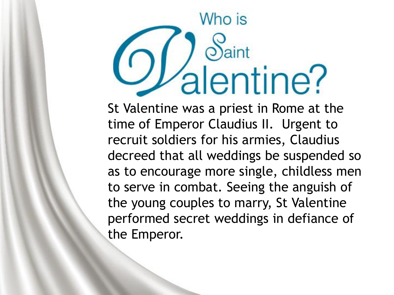## Who is alentine?

St Valentine was a priest in Rome at the time of Emperor Claudius II. Urgent to recruit soldiers for his armies, Claudius decreed that all weddings be suspended so as to encourage more single, childless men to serve in combat. Seeing the anguish of the young couples to marry, St Valentine performed secret weddings in defiance of the Emperor.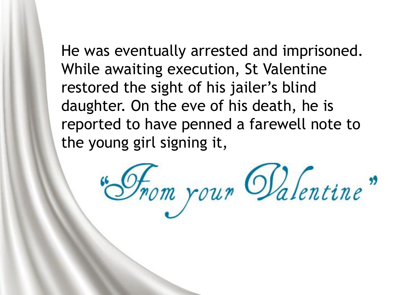He was eventually arrested and imprisoned. While awaiting execution, St Valentine restored the sight of his jailer's blind daughter. On the eve of his death, he is reported to have penned a farewell note to the young girl signing it,

Hom your Galentine"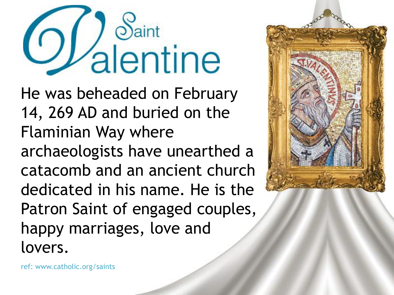## alentine

He was beheaded on February 14, 269 AD and buried on the Flaminian Way where archaeologists have unearthed a catacomb and an ancient church dedicated in his name. He is the Patron Saint of engaged couples, happy marriages, love and lovers.



ref: www.catholic.org/saints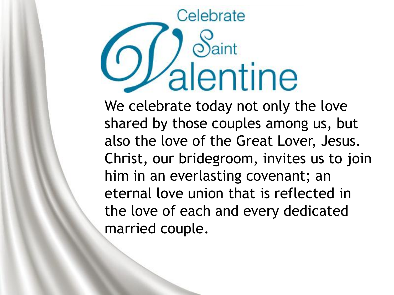## Celebrate alentine

We celebrate today not only the love shared by those couples among us, but also the love of the Great Lover, Jesus. Christ, our bridegroom, invites us to join him in an everlasting covenant; an eternal love union that is reflected in the love of each and every dedicated married couple.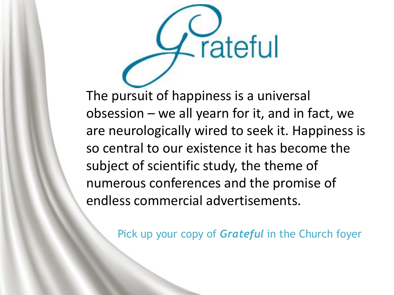

The pursuit of happiness is a universal obsession – we all yearn for it, and in fact, we are neurologically wired to seek it. Happiness is so central to our existence it has become the subject of scientific study, the theme of numerous conferences and the promise of endless commercial advertisements.

Pick up your copy of *Grateful* in the Church foyer